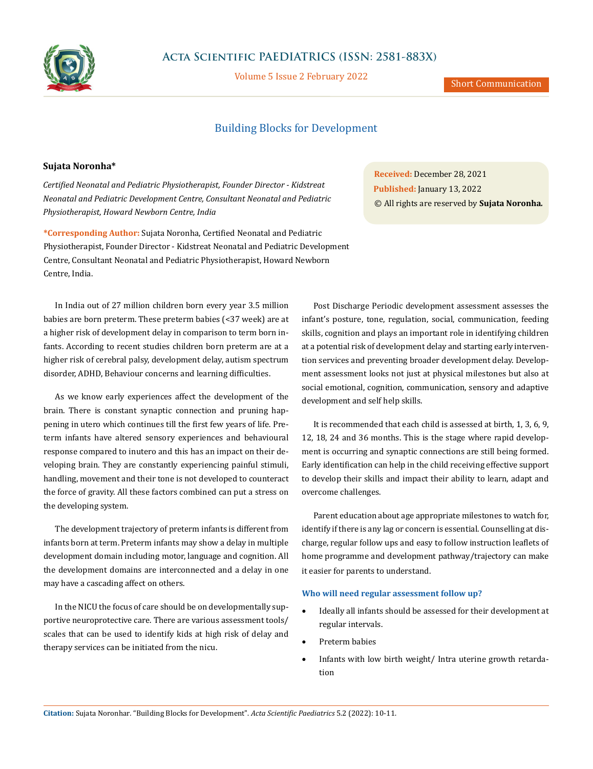

## **Acta Scientific PAEDIATRICS (ISSN: 2581-883X)**

Volume 5 Issue 2 February 2022

# Building Blocks for Development

### **Sujata Noronha\***

*Certified Neonatal and Pediatric Physiotherapist, Founder Director - Kidstreat Neonatal and Pediatric Development Centre, Consultant Neonatal and Pediatric Physiotherapist, Howard Newborn Centre, India*

**\*Corresponding Author:** Sujata Noronha, Certified Neonatal and Pediatric Physiotherapist, Founder Director - Kidstreat Neonatal and Pediatric Development Centre, Consultant Neonatal and Pediatric Physiotherapist, Howard Newborn Centre, India.

In India out of 27 million children born every year 3.5 million babies are born preterm. These preterm babies (<37 week) are at a higher risk of development delay in comparison to term born infants. According to recent studies children born preterm are at a higher risk of cerebral palsy, development delay, autism spectrum disorder, ADHD, Behaviour concerns and learning difficulties.

As we know early experiences affect the development of the brain. There is constant synaptic connection and pruning happening in utero which continues till the first few years of life. Preterm infants have altered sensory experiences and behavioural response compared to inutero and this has an impact on their developing brain. They are constantly experiencing painful stimuli, handling, movement and their tone is not developed to counteract the force of gravity. All these factors combined can put a stress on the developing system.

The development trajectory of preterm infants is different from infants born at term. Preterm infants may show a delay in multiple development domain including motor, language and cognition. All the development domains are interconnected and a delay in one may have a cascading affect on others.

In the NICU the focus of care should be on developmentally supportive neuroprotective care. There are various assessment tools/ scales that can be used to identify kids at high risk of delay and therapy services can be initiated from the nicu.

**Received:** December 28, 2021 **Published:** January 13, 2022 © All rights are reserved by **Sujata Noronha***.*

Post Discharge Periodic development assessment assesses the infant's posture, tone, regulation, social, communication, feeding skills, cognition and plays an important role in identifying children at a potential risk of development delay and starting early intervention services and preventing broader development delay. Development assessment looks not just at physical milestones but also at social emotional, cognition, communication, sensory and adaptive development and self help skills.

It is recommended that each child is assessed at birth, 1, 3, 6, 9, 12, 18, 24 and 36 months. This is the stage where rapid development is occurring and synaptic connections are still being formed. Early identification can help in the child receiving effective support to develop their skills and impact their ability to learn, adapt and overcome challenges.

Parent education about age appropriate milestones to watch for, identify if there is any lag or concern is essential. Counselling at discharge, regular follow ups and easy to follow instruction leaflets of home programme and development pathway/trajectory can make it easier for parents to understand.

#### **Who will need regular assessment follow up?**

- Ideally all infants should be assessed for their development at regular intervals.
- Preterm babies
- Infants with low birth weight/ Intra uterine growth retardation